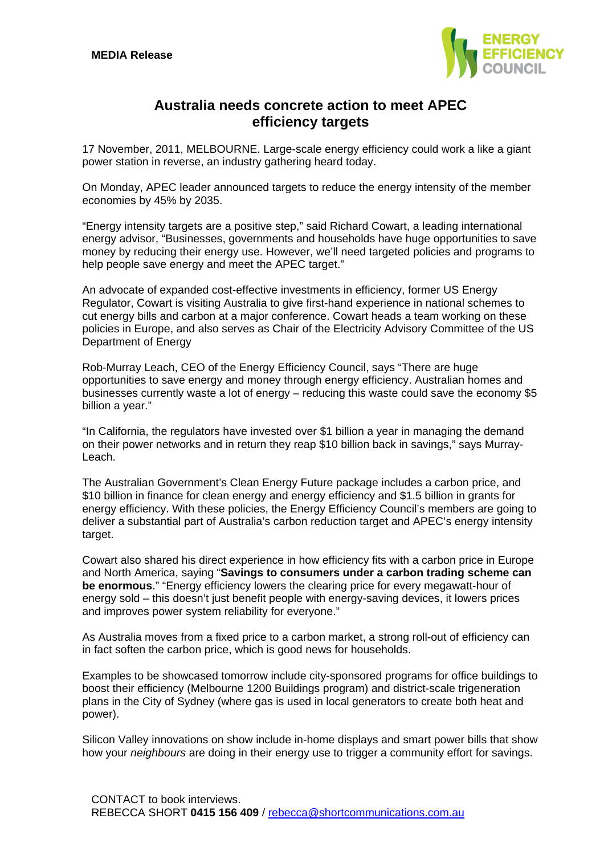

## **Australia needs concrete action to meet APEC efficiency targets**

17 November, 2011, MELBOURNE. Large-scale energy efficiency could work a like a giant power station in reverse, an industry gathering heard today.

On Monday, APEC leader announced targets to reduce the energy intensity of the member economies by 45% by 2035.

"Energy intensity targets are a positive step," said Richard Cowart, a leading international energy advisor, "Businesses, governments and households have huge opportunities to save money by reducing their energy use. However, we'll need targeted policies and programs to help people save energy and meet the APEC target."

An advocate of expanded cost-effective investments in efficiency, former US Energy Regulator, Cowart is visiting Australia to give first-hand experience in national schemes to cut energy bills and carbon at a major conference. Cowart heads a team working on these policies in Europe, and also serves as Chair of the Electricity Advisory Committee of the US Department of Energy

Rob-Murray Leach, CEO of the Energy Efficiency Council, says "There are huge opportunities to save energy and money through energy efficiency. Australian homes and businesses currently waste a lot of energy – reducing this waste could save the economy \$5 billion a year."

"In California, the regulators have invested over \$1 billion a year in managing the demand on their power networks and in return they reap \$10 billion back in savings," says Murray-Leach.

The Australian Government's Clean Energy Future package includes a carbon price, and \$10 billion in finance for clean energy and energy efficiency and \$1.5 billion in grants for energy efficiency. With these policies, the Energy Efficiency Council's members are going to deliver a substantial part of Australia's carbon reduction target and APEC's energy intensity target.

Cowart also shared his direct experience in how efficiency fits with a carbon price in Europe and North America, saying "**Savings to consumers under a carbon trading scheme can be enormous**." "Energy efficiency lowers the clearing price for every megawatt-hour of energy sold – this doesn't just benefit people with energy-saving devices, it lowers prices and improves power system reliability for everyone."

As Australia moves from a fixed price to a carbon market, a strong roll-out of efficiency can in fact soften the carbon price, which is good news for households.

Examples to be showcased tomorrow include city-sponsored programs for office buildings to boost their efficiency (Melbourne 1200 Buildings program) and district-scale trigeneration plans in the City of Sydney (where gas is used in local generators to create both heat and power).

Silicon Valley innovations on show include in-home displays and smart power bills that show how your *neighbours* are doing in their energy use to trigger a community effort for savings.